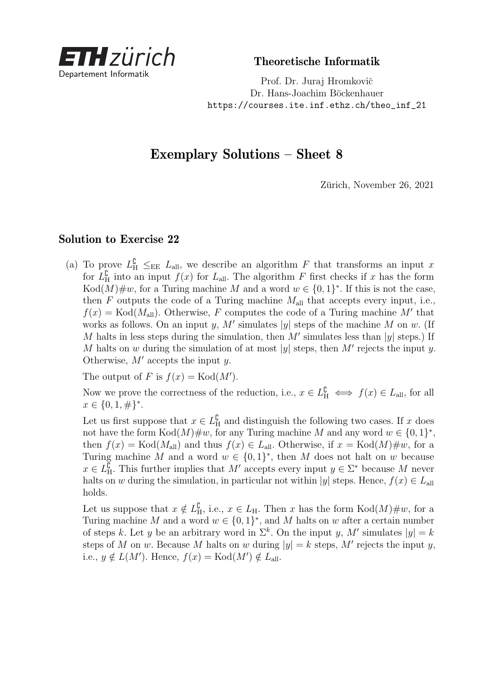

Theoretische Informatik

Prof. Dr. Juraj Hromkovič Dr. Hans-Joachim Böckenhauer [https://courses.ite.inf.ethz.ch/theo\\_inf\\_21](https://courses.ite.inf.ethz.ch/theo_inf_21)

## Exemplary Solutions – Sheet 8

Zürich, November 26, 2021

## Solution to Exercise 22

(a) To prove  $L_{\rm H}^{\rm C} \leq_{\rm EE} L_{\rm all}$ , we describe an algorithm *F* that transforms an input *x* for  $L<sup>C</sup><sub>H</sub>$  into an input  $f(x)$  for  $L<sub>all</sub>$ . The algorithm *F* first checks if *x* has the form  $Kod(M)\#w$ , for a Turing machine M and a word  $w \in \{0,1\}^*$ . If this is not the case, then  $F$  outputs the code of a Turing machine  $M_{\text{all}}$  that accepts every input, i.e.,  $f(x) = \text{Kod}(M_{all})$ . Otherwise, *F* computes the code of a Turing machine *M'* that works as follows. On an input *y*, M' simulates |*y*| steps of the machine M on *w*. (If M halts in less steps during the simulation, then  $M'$  simulates less than  $|y|$  steps.) If *M* halts on *w* during the simulation of at most  $|y|$  steps, then *M'* rejects the input *y*. Otherwise,  $M'$  accepts the input  $\eta$ .

The output of *F* is  $f(x) = \text{Kod}(M')$ .

Now we prove the correctness of the reduction, i.e.,  $x \in L^{\mathbb{C}}_{\mathbb{H}} \iff f(x) \in L_{\text{all}}$ , for all  $x \in \{0, 1, \#\}^*$ .

Let us first suppose that  $x \in L^{\mathbb{C}}_{\mathbb{H}}$  and distinguish the following two cases. If *x* does not have the form  $\text{Kod}(M) \# w$ , for any Turing machine M and any word  $w \in \{0,1\}^*$ , then  $f(x) = \text{Kod}(M_{all})$  and thus  $f(x) \in L_{all}$ . Otherwise, if  $x = \text{Kod}(M) \# w$ , for a Turing machine *M* and a word  $w \in \{0,1\}^*$ , then *M* does not halt on *w* because  $x \in L^{\bar{\mathfrak{L}}}_{\mathbf{H}}$ . This further implies that *M'* accepts every input  $y \in \Sigma^*$  because *M* never halts on *w* during the simulation, in particular not within |*y*| steps. Hence,  $f(x) \in L$ <sub>all</sub> holds.

Let us suppose that  $x \notin L^{\mathbb{C}}_{\mathbb{H}}$ , i.e.,  $x \in L_{\mathbb{H}}$ . Then *x* has the form  $Kod(M)\#w$ , for a Turing machine *M* and a word  $w \in \{0,1\}^*$ , and *M* halts on *w* after a certain number of steps *k*. Let *y* be an arbitrary word in  $\Sigma^k$ . On the input *y*, M' simulates  $|y| = k$ steps of *M* on *w*. Because *M* halts on *w* during  $|y| = k$  steps, *M'* rejects the input *y*, i.e.,  $y \notin L(M')$ . Hence,  $f(x) = \text{Kod}(M') \notin L_{\text{all}}$ .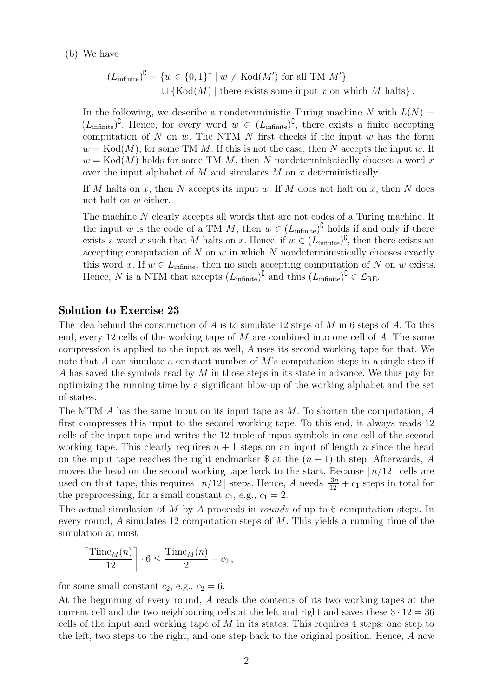(b) We have

$$
(L_{\text{infinite}})^{\complement} = \{w \in \{0,1\}^* \mid w \neq \text{Kod}(M') \text{ for all TM } M'\}
$$
  

$$
\cup \{\text{Kod}(M) \mid \text{there exists some input } x \text{ on which } M \text{ halts}\}.
$$

In the following, we describe a nondeterministic Turing machine  $N$  with  $L(N) =$  $(L<sub>infinite</sub>)<sup>C</sup>$ . Hence, for every word  $w \in (L<sub>infinite</sub>)<sup>C</sup>$ , there exists a finite accepting computation of *N* on *w*. The NTM *N* first checks if the input *w* has the form  $w = \text{Kod}(M)$ , for some TM M. If this is not the case, then N accepts the input *w*. If  $w = \text{Kod}(M)$  holds for some TM *M*, then *N* nondeterministically chooses a word *x* over the input alphabet of *M* and simulates *M* on *x* deterministically.

If *M* halts on *x*, then *N* accepts its input *w*. If *M* does not halt on *x*, then *N* does not halt on *w* either.

The machine N clearly accepts all words that are not codes of a Turing machine. If the input *w* is the code of a TM *M*, then  $w \in (L_{\text{infinite}})^{\complement}$  holds if and only if there exists a word *x* such that *M* halts on *x*. Hence, if  $w \in (L_{\text{infinite}})^{\mathbb{C}}$ , then there exists an accepting computation of *N* on *w* in which *N* nondeterministically chooses exactly this word *x*. If  $w \in L_{\text{infinite}}$ , then no such accepting computation of *N* on *w* exists. Hence, *N* is a NTM that accepts  $(L_{\text{infinite}})^{\mathbb{C}}$  and thus  $(L_{\text{infinite}})^{\mathbb{C}} \in \mathcal{L}_{\text{RE}}$ .

## Solution to Exercise 23

The idea behind the construction of *A* is to simulate 12 steps of *M* in 6 steps of *A*. To this end, every 12 cells of the working tape of *M* are combined into one cell of *A*. The same compression is applied to the input as well, *A* uses its second working tape for that. We note that *A* can simulate a constant number of *M*'s computation steps in a single step if *A* has saved the symbols read by *M* in those steps in its state in advance. We thus pay for optimizing the running time by a significant blow-up of the working alphabet and the set of states.

The MTM *A* has the same input on its input tape as *M*. To shorten the computation, *A* first compresses this input to the second working tape. To this end, it always reads 12 cells of the input tape and writes the 12-tuple of input symbols in one cell of the second working tape. This clearly requires  $n + 1$  steps on an input of length  $n$  since the head on the input tape reaches the right endmarker  $\$  at the  $(n + 1)$ -th step. Afterwards, *A* moves the head on the second working tape back to the start. Because  $\lceil n/12 \rceil$  cells are used on that tape, this requires  $\lceil n/12 \rceil$  steps. Hence, *A* needs  $\frac{13n}{12} + c_1$  steps in total for the preprocessing, for a small constant  $c_1$ , e.g.,  $c_1 = 2$ .

The actual simulation of *M* by *A* proceeds in rounds of up to 6 computation steps. In every round, *A* simulates 12 computation steps of *M*. This yields a running time of the simulation at most

$$
\left\lceil \frac{\text{Time}_M(n)}{12} \right\rceil \cdot 6 \le \frac{\text{Time}_M(n)}{2} + c_2,
$$

for some small constant  $c_2$ , e.g.,  $c_2 = 6$ .

At the beginning of every round, *A* reads the contents of its two working tapes at the current cell and the two neighbouring cells at the left and right and saves these  $3 \cdot 12 = 36$ cells of the input and working tape of *M* in its states. This requires 4 steps: one step to the left, two steps to the right, and one step back to the original position. Hence, *A* now